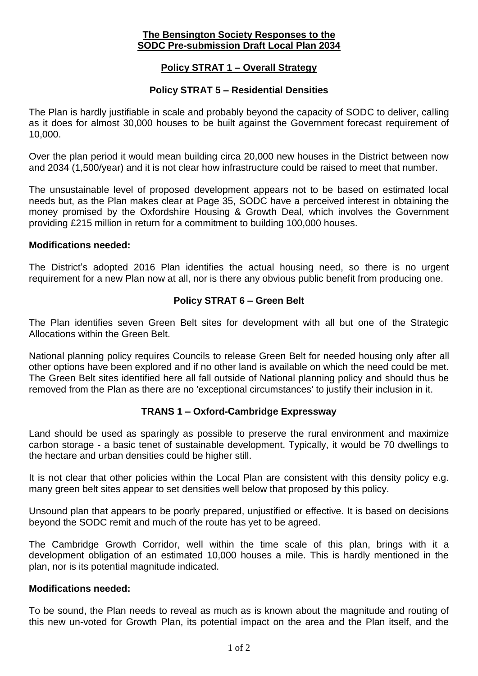### **The Bensington Society Responses to the SODC Pre-submission Draft Local Plan 2034**

# **Policy STRAT 1 – Overall Strategy**

## **Policy STRAT 5 – Residential Densities**

The Plan is hardly justifiable in scale and probably beyond the capacity of SODC to deliver, calling as it does for almost 30,000 houses to be built against the Government forecast requirement of 10,000.

Over the plan period it would mean building circa 20,000 new houses in the District between now and 2034 (1,500/year) and it is not clear how infrastructure could be raised to meet that number.

The unsustainable level of proposed development appears not to be based on estimated local needs but, as the Plan makes clear at Page 35, SODC have a perceived interest in obtaining the money promised by the Oxfordshire Housing & Growth Deal, which involves the Government providing £215 million in return for a commitment to building 100,000 houses.

#### **Modifications needed:**

The District's adopted 2016 Plan identifies the actual housing need, so there is no urgent requirement for a new Plan now at all, nor is there any obvious public benefit from producing one.

## **Policy STRAT 6 – Green Belt**

The Plan identifies seven Green Belt sites for development with all but one of the Strategic Allocations within the Green Belt.

National planning policy requires Councils to release Green Belt for needed housing only after all other options have been explored and if no other land is available on which the need could be met. The Green Belt sites identified here all fall outside of National planning policy and should thus be removed from the Plan as there are no 'exceptional circumstances' to justify their inclusion in it.

### **TRANS 1 – Oxford-Cambridge Expressway**

Land should be used as sparingly as possible to preserve the rural environment and maximize carbon storage - a basic tenet of sustainable development. Typically, it would be 70 dwellings to the hectare and urban densities could be higher still.

It is not clear that other policies within the Local Plan are consistent with this density policy e.g. many green belt sites appear to set densities well below that proposed by this policy.

Unsound plan that appears to be poorly prepared, unjustified or effective. It is based on decisions beyond the SODC remit and much of the route has yet to be agreed.

The Cambridge Growth Corridor, well within the time scale of this plan, brings with it a development obligation of an estimated 10,000 houses a mile. This is hardly mentioned in the plan, nor is its potential magnitude indicated.

### **Modifications needed:**

To be sound, the Plan needs to reveal as much as is known about the magnitude and routing of this new un-voted for Growth Plan, its potential impact on the area and the Plan itself, and the